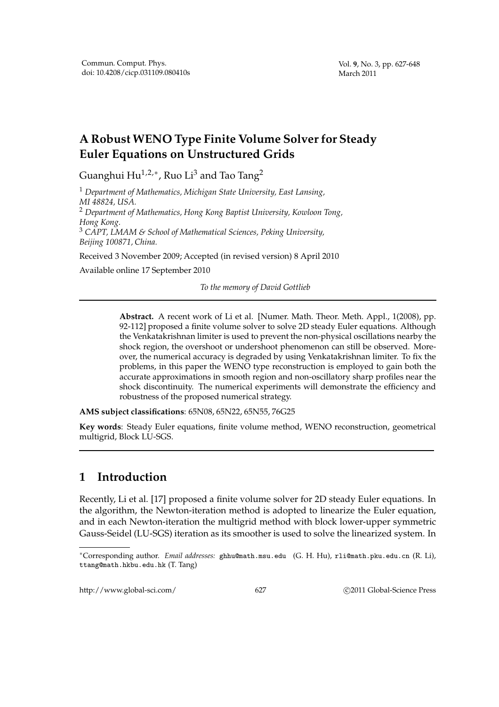# **A Robust WENO Type Finite Volume Solver for Steady Euler Equations on Unstructured Grids**

Guanghui Hu $^{1,2,*}$ , Ruo Li $^3$  and Tao Tang $^2$ 

<sup>1</sup> *Department of Mathematics, Michigan State University, East Lansing, MI 48824, USA.* <sup>2</sup> *Department of Mathematics, Hong Kong Baptist University, Kowloon Tong, Hong Kong.* <sup>3</sup> *CAPT, LMAM & School of Mathematical Sciences, Peking University, Beijing 100871, China.*

Received 3 November 2009; Accepted (in revised version) 8 April 2010

Available online 17 September 2010

*To the memory of David Gottlieb*

**Abstract.** A recent work of Li et al. [Numer. Math. Theor. Meth. Appl., 1(2008), pp. 92-112] proposed a finite volume solver to solve 2D steady Euler equations. Although the Venkatakrishnan limiter is used to prevent the non-physical oscillations nearby the shock region, the overshoot or undershoot phenomenon can still be observed. Moreover, the numerical accuracy is degraded by using Venkatakrishnan limiter. To fix the problems, in this paper the WENO type reconstruction is employed to gain both the accurate approximations in smooth region and non-oscillatory sharp profiles near the shock discontinuity. The numerical experiments will demonstrate the efficiency and robustness of the proposed numerical strategy.

**AMS subject classifications**: 65N08, 65N22, 65N55, 76G25

**Key words**: Steady Euler equations, finite volume method, WENO reconstruction, geometrical multigrid, Block LU-SGS.

# **1 Introduction**

Recently, Li et al. [17] proposed a finite volume solver for 2D steady Euler equations. In the algorithm, the Newton-iteration method is adopted to linearize the Euler equation, and in each Newton-iteration the multigrid method with block lower-upper symmetric Gauss-Seidel (LU-SGS) iteration as its smoother is used to solve the linearized system. In

http://www.global-sci.com/ 627 
627 
627 
C 2011 Global-Science Press

<sup>∗</sup>Corresponding author. *Email addresses:* ghhu@math.msu.edu (G. H. Hu), rli@math.pku.edu.cn (R. Li), ttang@math.hkbu.edu.hk (T. Tang)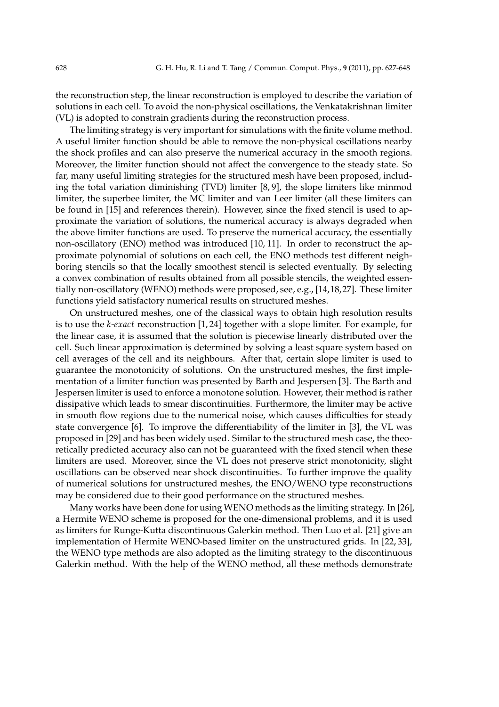the reconstruction step, the linear reconstruction is employed to describe the variation of solutions in each cell. To avoid the non-physical oscillations, the Venkatakrishnan limiter (VL) is adopted to constrain gradients during the reconstruction process.

The limiting strategy is very important for simulations with the finite volume method. A useful limiter function should be able to remove the non-physical oscillations nearby the shock profiles and can also preserve the numerical accuracy in the smooth regions. Moreover, the limiter function should not affect the convergence to the steady state. So far, many useful limiting strategies for the structured mesh have been proposed, including the total variation diminishing (TVD) limiter [8, 9], the slope limiters like minmod limiter, the superbee limiter, the MC limiter and van Leer limiter (all these limiters can be found in [15] and references therein). However, since the fixed stencil is used to approximate the variation of solutions, the numerical accuracy is always degraded when the above limiter functions are used. To preserve the numerical accuracy, the essentially non-oscillatory (ENO) method was introduced [10, 11]. In order to reconstruct the approximate polynomial of solutions on each cell, the ENO methods test different neighboring stencils so that the locally smoothest stencil is selected eventually. By selecting a convex combination of results obtained from all possible stencils, the weighted essentially non-oscillatory (WENO) methods were proposed, see, e.g., [14,18,27]. These limiter functions yield satisfactory numerical results on structured meshes.

On unstructured meshes, one of the classical ways to obtain high resolution results is to use the *k*-*exact* reconstruction [1, 24] together with a slope limiter. For example, for the linear case, it is assumed that the solution is piecewise linearly distributed over the cell. Such linear approximation is determined by solving a least square system based on cell averages of the cell and its neighbours. After that, certain slope limiter is used to guarantee the monotonicity of solutions. On the unstructured meshes, the first implementation of a limiter function was presented by Barth and Jespersen [3]. The Barth and Jespersen limiter is used to enforce a monotone solution. However, their method is rather dissipative which leads to smear discontinuities. Furthermore, the limiter may be active in smooth flow regions due to the numerical noise, which causes difficulties for steady state convergence [6]. To improve the differentiability of the limiter in [3], the VL was proposed in [29] and has been widely used. Similar to the structured mesh case, the theoretically predicted accuracy also can not be guaranteed with the fixed stencil when these limiters are used. Moreover, since the VL does not preserve strict monotonicity, slight oscillations can be observed near shock discontinuities. To further improve the quality of numerical solutions for unstructured meshes, the ENO/WENO type reconstructions may be considered due to their good performance on the structured meshes.

Many works have been done for using WENO methods as the limiting strategy. In [26], a Hermite WENO scheme is proposed for the one-dimensional problems, and it is used as limiters for Runge-Kutta discontinuous Galerkin method. Then Luo et al. [21] give an implementation of Hermite WENO-based limiter on the unstructured grids. In [22, 33], the WENO type methods are also adopted as the limiting strategy to the discontinuous Galerkin method. With the help of the WENO method, all these methods demonstrate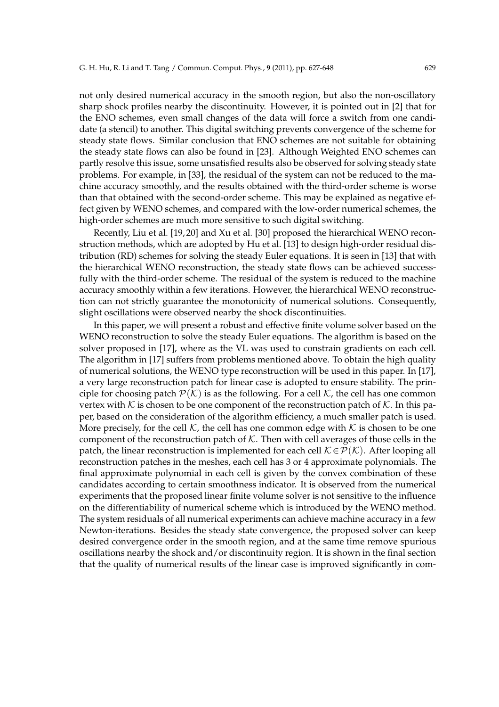not only desired numerical accuracy in the smooth region, but also the non-oscillatory sharp shock profiles nearby the discontinuity. However, it is pointed out in [2] that for the ENO schemes, even small changes of the data will force a switch from one candidate (a stencil) to another. This digital switching prevents convergence of the scheme for steady state flows. Similar conclusion that ENO schemes are not suitable for obtaining the steady state flows can also be found in [23]. Although Weighted ENO schemes can partly resolve this issue, some unsatisfied results also be observed for solving steady state problems. For example, in [33], the residual of the system can not be reduced to the machine accuracy smoothly, and the results obtained with the third-order scheme is worse than that obtained with the second-order scheme. This may be explained as negative effect given by WENO schemes, and compared with the low-order numerical schemes, the high-order schemes are much more sensitive to such digital switching.

Recently, Liu et al. [19, 20] and Xu et al. [30] proposed the hierarchical WENO reconstruction methods, which are adopted by Hu et al. [13] to design high-order residual distribution (RD) schemes for solving the steady Euler equations. It is seen in [13] that with the hierarchical WENO reconstruction, the steady state flows can be achieved successfully with the third-order scheme. The residual of the system is reduced to the machine accuracy smoothly within a few iterations. However, the hierarchical WENO reconstruction can not strictly guarantee the monotonicity of numerical solutions. Consequently, slight oscillations were observed nearby the shock discontinuities.

In this paper, we will present a robust and effective finite volume solver based on the WENO reconstruction to solve the steady Euler equations. The algorithm is based on the solver proposed in [17], where as the VL was used to constrain gradients on each cell. The algorithm in [17] suffers from problems mentioned above. To obtain the high quality of numerical solutions, the WENO type reconstruction will be used in this paper. In [17], a very large reconstruction patch for linear case is adopted to ensure stability. The principle for choosing patch  $\mathcal{P}(\mathcal{K})$  is as the following. For a cell  $\mathcal{K}$ , the cell has one common vertex with  $K$  is chosen to be one component of the reconstruction patch of  $K$ . In this paper, based on the consideration of the algorithm efficiency, a much smaller patch is used. More precisely, for the cell  $K$ , the cell has one common edge with  $K$  is chosen to be one component of the reconstruction patch of  $K$ . Then with cell averages of those cells in the patch, the linear reconstruction is implemented for each cell  $\mathcal{K} \in \mathcal{P}(\mathcal{K})$ . After looping all reconstruction patches in the meshes, each cell has 3 or 4 approximate polynomials. The final approximate polynomial in each cell is given by the convex combination of these candidates according to certain smoothness indicator. It is observed from the numerical experiments that the proposed linear finite volume solver is not sensitive to the influence on the differentiability of numerical scheme which is introduced by the WENO method. The system residuals of all numerical experiments can achieve machine accuracy in a few Newton-iterations. Besides the steady state convergence, the proposed solver can keep desired convergence order in the smooth region, and at the same time remove spurious oscillations nearby the shock and/or discontinuity region. It is shown in the final section that the quality of numerical results of the linear case is improved significantly in com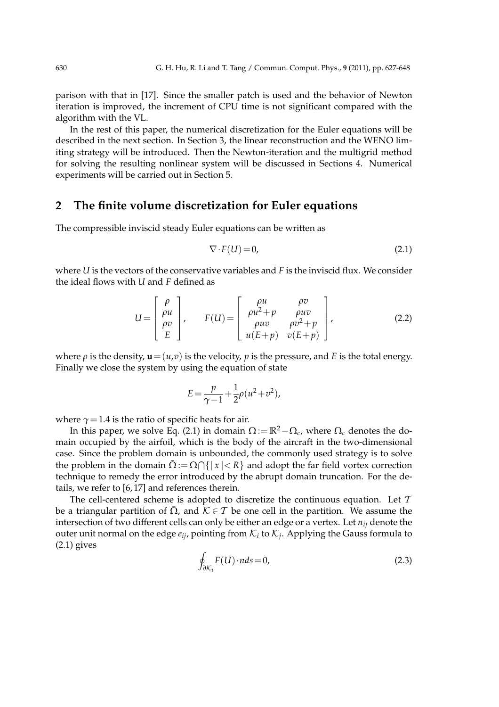parison with that in [17]. Since the smaller patch is used and the behavior of Newton iteration is improved, the increment of CPU time is not significant compared with the algorithm with the VL.

In the rest of this paper, the numerical discretization for the Euler equations will be described in the next section. In Section 3, the linear reconstruction and the WENO limiting strategy will be introduced. Then the Newton-iteration and the multigrid method for solving the resulting nonlinear system will be discussed in Sections 4. Numerical experiments will be carried out in Section 5.

### **2 The finite volume discretization for Euler equations**

The compressible inviscid steady Euler equations can be written as

$$
\nabla \cdot F(U) = 0,\tag{2.1}
$$

where *U* is the vectors of the conservative variables and *F* is the inviscid flux. We consider the ideal flows with *U* and *F* defined as

$$
U = \begin{bmatrix} \rho \\ \rho u \\ \rho v \\ E \end{bmatrix}, \qquad F(U) = \begin{bmatrix} \rho u & \rho v \\ \rho u^2 + p & \rho u v \\ \rho u v & \rho v^2 + p \\ u(E + p) & v(E + p) \end{bmatrix}, \tag{2.2}
$$

where  $\rho$  is the density,  $\mathbf{u} = (u,v)$  is the velocity, p is the pressure, and *E* is the total energy. Finally we close the system by using the equation of state

$$
E = \frac{p}{\gamma - 1} + \frac{1}{2}\rho(u^2 + v^2),
$$

where  $\gamma$  = 1.4 is the ratio of specific heats for air.

In this paper, we solve Eq. (2.1) in domain  $\Omega := \mathbb{R}^2 - \Omega_c$ , where  $\Omega_c$  denotes the domain occupied by the airfoil, which is the body of the aircraft in the two-dimensional case. Since the problem domain is unbounded, the commonly used strategy is to solve the problem in the domain  $\bar{\Omega} := \Omega \cap \{ |x| < R \}$  and adopt the far field vortex correction technique to remedy the error introduced by the abrupt domain truncation. For the details, we refer to [6, 17] and references therein.

The cell-centered scheme is adopted to discretize the continuous equation. Let  $T$ be a triangular partition of  $\overline{\Omega}$ , and  $\mathcal{K} \in \mathcal{T}$  be one cell in the partition. We assume the intersection of two different cells can only be either an edge or a vertex. Let *nij* denote the outer unit normal on the edge  $e_{ij}$ , pointing from  $\mathcal{K}_i$  to  $\mathcal{K}_j$ . Applying the Gauss formula to  $(2.1)$  gives

$$
\oint_{\partial \mathcal{K}_i} F(U) \cdot n ds = 0,\tag{2.3}
$$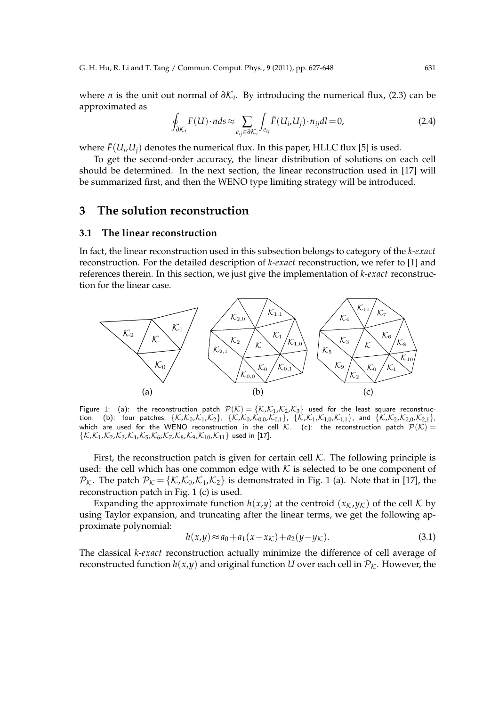where *n* is the unit out normal of *∂*K*<sup>i</sup>* . By introducing the numerical flux, (2.3) can be approximated as

$$
\oint_{\partial \mathcal{K}_i} F(U) \cdot n ds \approx \sum_{e_{ij} \in \partial \mathcal{K}_i} \int_{e_{ij}} \bar{F}(U_i, U_j) \cdot n_{ij} dl = 0,
$$
\n(2.4)

where  $\bar{F}(U_i, U_j)$  denotes the numerical flux. In this paper, HLLC flux [5] is used.

To get the second-order accuracy, the linear distribution of solutions on each cell should be determined. In the next section, the linear reconstruction used in [17] will be summarized first, and then the WENO type limiting strategy will be introduced.

### **3 The solution reconstruction**

#### **3.1 The linear reconstruction**

In fact, the linear reconstruction used in this subsection belongs to category of the *k*-*exact* reconstruction. For the detailed description of *k*-*exact* reconstruction, we refer to [1] and references therein. In this section, we just give the implementation of *k*-*exact* reconstruction for the linear case.



Figure 1: (a): the reconstruction patch  $\mathcal{P}(\mathcal{K}) = \{\mathcal{K}, \mathcal{K}_1, \mathcal{K}_2, \mathcal{K}_3\}$  used for the least square reconstruction. (b): four patches,  $\{K$ , $K_0$ , $K_1$ , $K_2\}$ ,  $\{K$ , $K_0$ , $K_{0,0}$ , $K_{0,1}\}$ ,  $\{K$ , $K_1$ , $K_{1,0}$ , $K_{1,1}\}$ , and  $\{K$ , $K_2$ , $K_{2,0}$ , $K_{2,1}\}$ , which are used for the WENO reconstruction in the cell  $\mathcal{K}$ . (c): the reconstruction patch  $\mathcal{P}(\mathcal{K})=$  $\{K, K_1, K_2, K_3, K_4, K_5, K_6, K_7, K_8, K_9, K_{10}, K_{11}\}$  used in [17].

First, the reconstruction patch is given for certain cell  $K$ . The following principle is used: the cell which has one common edge with  $K$  is selected to be one component of  $\mathcal{P}_{\mathcal{K}}$ . The patch  $\mathcal{P}_{\mathcal{K}} = {\mathcal{K}, \mathcal{K}_0, \mathcal{K}_1, \mathcal{K}_2}$  is demonstrated in Fig. 1 (a). Note that in [17], the reconstruction patch in Fig. 1 (c) is used.

Expanding the approximate function  $h(x,y)$  at the centroid  $(x_K, y_K)$  of the cell K by using Taylor expansion, and truncating after the linear terms, we get the following approximate polynomial:

$$
h(x,y) \approx a_0 + a_1(x - x_{\mathcal{K}}) + a_2(y - y_{\mathcal{K}}). \tag{3.1}
$$

The classical *k*-*exact* reconstruction actually minimize the difference of cell average of reconstructed function  $h(x,y)$  and original function *U* over each cell in  $P_K$ . However, the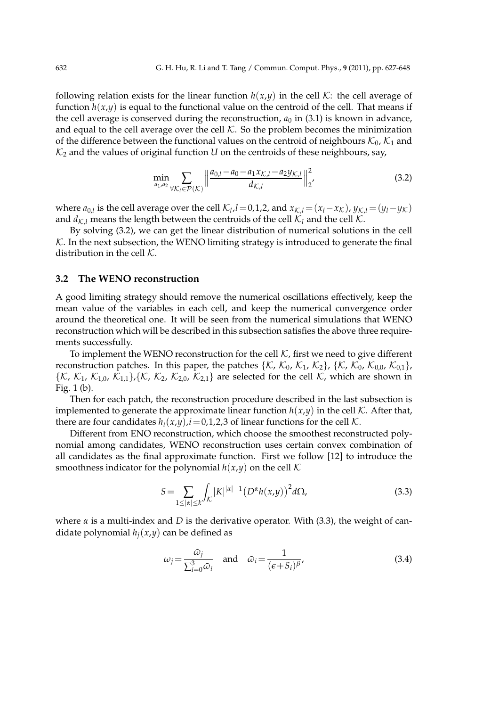following relation exists for the linear function  $h(x,y)$  in the cell K: the cell average of function  $h(x,y)$  is equal to the functional value on the centroid of the cell. That means if the cell average is conserved during the reconstruction,  $a_0$  in (3.1) is known in advance, and equal to the cell average over the cell  $K$ . So the problem becomes the minimization of the difference between the functional values on the centroid of neighbours  $\mathcal{K}_0$ ,  $\mathcal{K}_1$  and  $K_2$  and the values of original function *U* on the centroids of these neighbours, say,

$$
\min_{a_{1},a_{2}} \sum_{\forall K_{l} \in \mathcal{P}(K)} \left\| \frac{a_{0,l} - a_{0} - a_{1}x_{K,l} - a_{2}y_{K,l}}{d_{K,l}} \right\|_{2}^{2},\tag{3.2}
$$

where  $a_{0,l}$  is the cell average over the cell  $\mathcal{K}_l$ ,  $l=0,1,2$ , and  $x_{\mathcal{K},l} = (x_l - x_{\mathcal{K}})$ ,  $y_{\mathcal{K},l} = (y_l - y_{\mathcal{K}})$ and  $d_{KL}$  means the length between the centroids of the cell  $K_l$  and the cell K.

By solving (3.2), we can get the linear distribution of numerical solutions in the cell  $K$ . In the next subsection, the WENO limiting strategy is introduced to generate the final distribution in the cell  $K$ .

#### **3.2 The WENO reconstruction**

A good limiting strategy should remove the numerical oscillations effectively, keep the mean value of the variables in each cell, and keep the numerical convergence order around the theoretical one. It will be seen from the numerical simulations that WENO reconstruction which will be described in this subsection satisfies the above three requirements successfully.

To implement the WENO reconstruction for the cell  $K$ , first we need to give different reconstruction patches. In this paper, the patches { $K$ ,  $K_0$ ,  $K_1$ ,  $K_2$ }, { $K$ ,  $K_0$ ,  $K_{0,0}$ ,  $K_{0,1}$ },  $\{K, \mathcal{K}_1, \mathcal{K}_{1,0}, \mathcal{K}_{1,1}\}, \{\mathcal{K}, \mathcal{K}_2, \mathcal{K}_{2,0}, \mathcal{K}_{2,1}\}\$  are selected for the cell  $\mathcal{K}$ , which are shown in Fig. 1 (b).

Then for each patch, the reconstruction procedure described in the last subsection is implemented to generate the approximate linear function  $h(x,y)$  in the cell K. After that, there are four candidates  $h_i(x,y)$ ,  $i=0,1,2,3$  of linear functions for the cell  $K$ .

Different from ENO reconstruction, which choose the smoothest reconstructed polynomial among candidates, WENO reconstruction uses certain convex combination of all candidates as the final approximate function. First we follow [12] to introduce the smoothness indicator for the polynomial  $h(x,y)$  on the cell  $K$ 

$$
S = \sum_{1 \leq |\alpha| \leq k} \int_{\mathcal{K}} |K|^{|a|-1} \left( D^{\alpha} h(x, y) \right)^2 d\Omega, \tag{3.3}
$$

where  $\alpha$  is a multi-index and *D* is the derivative operator. With (3.3), the weight of candidate polynomial  $h_i(x,y)$  can be defined as

$$
\omega_j = \frac{\tilde{\omega}_j}{\sum_{i=0}^3 \tilde{\omega}_i} \quad \text{and} \quad \tilde{\omega}_i = \frac{1}{(\epsilon + S_i)^{\beta}},\tag{3.4}
$$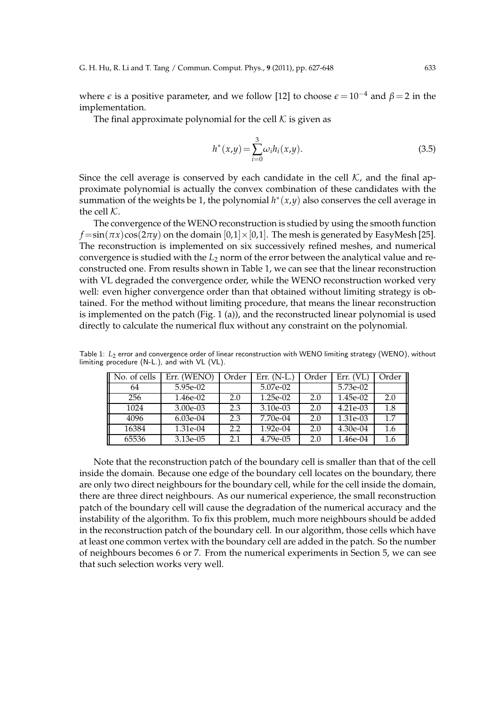where  $\epsilon$  is a positive parameter, and we follow [12] to choose  $\epsilon = 10^{-4}$  and  $\beta = 2$  in the implementation.

The final approximate polynomial for the cell  $K$  is given as

$$
h^*(x,y) = \sum_{i=0}^{3} \omega_i h_i(x,y).
$$
 (3.5)

Since the cell average is conserved by each candidate in the cell  $K$ , and the final approximate polynomial is actually the convex combination of these candidates with the summation of the weights be 1, the polynomial  $h^*(x,y)$  also conserves the cell average in the cell  $K$ .

The convergence of the WENO reconstruction is studied by using the smooth function  $f = \sin(\pi x) \cos(2\pi y)$  on the domain  $[0,1] \times [0,1]$ . The mesh is generated by EasyMesh [25]. The reconstruction is implemented on six successively refined meshes, and numerical convergence is studied with the *L*<sup>2</sup> norm of the error between the analytical value and reconstructed one. From results shown in Table 1, we can see that the linear reconstruction with VL degraded the convergence order, while the WENO reconstruction worked very well: even higher convergence order than that obtained without limiting strategy is obtained. For the method without limiting procedure, that means the linear reconstruction is implemented on the patch (Fig. 1 (a)), and the reconstructed linear polynomial is used directly to calculate the numerical flux without any constraint on the polynomial.

Table 1:  $L_2$  error and convergence order of linear reconstruction with WENO limiting strategy (WENO), without limiting procedure (N-L.), and with VL (VL).

| No. of cells | Err. (WENO) | Order | Err. $(N-L)$ | Order | Err. (VL)  | Order |
|--------------|-------------|-------|--------------|-------|------------|-------|
| 64           | 5.95e-02    |       | 5.07e-02     |       | 5.73e-02   |       |
| 256          | 1.46e-02    | 2.0   | 1.25e-02     | 2.0   | 1.45e-02   | 2.0   |
| 1024         | $3.00e-03$  | 2.3   | 3.10e-03     | 2.0   | $4.21e-03$ | 1.8   |
| 4096         | $6.03e-04$  | 2.3   | 7.70e-04     | 2.0   | 1.31e-03   | 1.7   |
| 16384        | 1.31e-04    | 2.2   | $1.92e-04$   | 2.0   | $4.30e-04$ | 1.6   |
| 65536        | $3.13e-05$  | 2.1   | $4.79e-0.5$  | 2.0   | 1.46e-04   | 1.6   |

Note that the reconstruction patch of the boundary cell is smaller than that of the cell inside the domain. Because one edge of the boundary cell locates on the boundary, there are only two direct neighbours for the boundary cell, while for the cell inside the domain, there are three direct neighbours. As our numerical experience, the small reconstruction patch of the boundary cell will cause the degradation of the numerical accuracy and the instability of the algorithm. To fix this problem, much more neighbours should be added in the reconstruction patch of the boundary cell. In our algorithm, those cells which have at least one common vertex with the boundary cell are added in the patch. So the number of neighbours becomes 6 or 7. From the numerical experiments in Section 5, we can see that such selection works very well.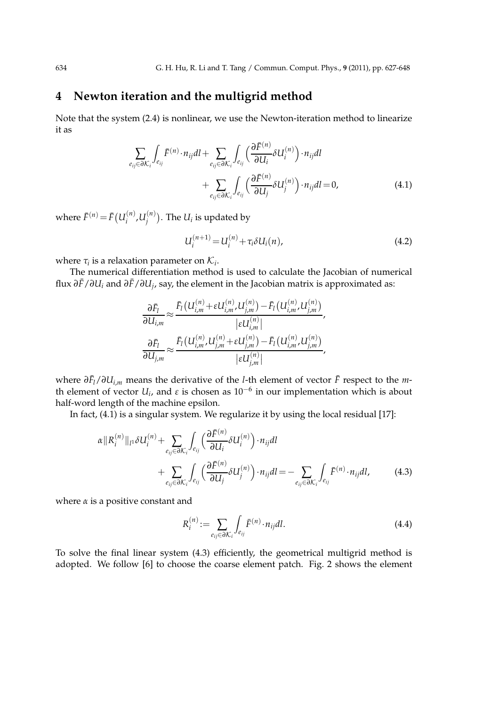## **4 Newton iteration and the multigrid method**

Note that the system (2.4) is nonlinear, we use the Newton-iteration method to linearize it as

$$
\sum_{e_{ij}\in\partial\mathcal{K}_{i}}\int_{e_{ij}}\bar{F}^{(n)}\cdot n_{ij}dl + \sum_{e_{ij}\in\partial\mathcal{K}_{i}}\int_{e_{ij}}\left(\frac{\partial\bar{F}^{(n)}}{\partial U_{i}}\delta U_{i}^{(n)}\right)\cdot n_{ij}dl
$$

$$
+\sum_{e_{ij}\in\partial\mathcal{K}_{i}}\int_{e_{ij}}\left(\frac{\partial\bar{F}^{(n)}}{\partial U_{j}}\delta U_{j}^{(n)}\right)\cdot n_{ij}dl = 0,
$$
(4.1)

where  $\bar{F}^{(n)} = \bar{F}(U_i^{(n)})$  $U_i^{(n)}$ ,  $U_j^{(n)}$  $\binom{n}{i}$ . The  $U_i$  is updated by

$$
U_i^{(n+1)} = U_i^{(n)} + \tau_i \delta U_i(n), \tag{4.2}
$$

where  $\tau_i$  is a relaxation parameter on  $\mathcal{K}_i$ .

The numerical differentiation method is used to calculate the Jacobian of numerical flux *∂F*¯/*∂U<sup>i</sup>* and *∂F*¯/*∂U<sup>j</sup>* , say, the element in the Jacobian matrix is approximated as:

$$
\frac{\partial \bar{F}_{l}}{\partial U_{i,m}} \approx \frac{\bar{F}_{l}\left(U_{i,m}^{(n)} + \varepsilon U_{i,m}^{(n)}, U_{j,m}^{(n)}\right) - \bar{F}_{l}\left(U_{i,m}^{(n)}, U_{j,m}^{(n)}\right)}{\left|\varepsilon U_{i,m}^{(n)}\right|},
$$
\n
$$
\frac{\partial \bar{F}_{l}}{\partial U_{j,m}} \approx \frac{\bar{F}_{l}\left(U_{i,m}^{(n)}, U_{j,m}^{(n)} + \varepsilon U_{j,m}^{(n)}\right) - \bar{F}_{l}\left(U_{i,m}^{(n)}, U_{j,m}^{(n)}\right)}{\left|\varepsilon U_{j,m}^{(n)}\right|},
$$

 $\frac{d}{dt}$  *N*<sup>*D*</sup> *M*<sup>*i*</sup>,*m* means the derivative of the *l*-th element of vector *F* respect to the *m*th element of vector  $U_i$ , and  $\varepsilon$  is chosen as  $10^{-6}$  in our implementation which is about half-word length of the machine epsilon.

In fact, (4.1) is a singular system. We regularize it by using the local residual [17]:

$$
\alpha ||R_i^{(n)}||_l \delta U_i^{(n)} + \sum_{e_{ij} \in \partial \mathcal{K}_i} \int_{e_{ij}} \left( \frac{\partial \bar{F}^{(n)}}{\partial U_i} \delta U_i^{(n)} \right) \cdot n_{ij} dl + \sum_{e_{ij} \in \partial \mathcal{K}_i} \int_{e_{ij}} \left( \frac{\partial \bar{F}^{(n)}}{\partial U_j} \delta U_j^{(n)} \right) \cdot n_{ij} dl = - \sum_{e_{ij} \in \partial \mathcal{K}_i} \int_{e_{ij}} \bar{F}^{(n)} \cdot n_{ij} dl,
$$
(4.3)

where  $\alpha$  is a positive constant and

$$
R_i^{(n)} := \sum_{e_{ij} \in \partial \mathcal{K}_i} \int_{e_{ij}} \bar{F}^{(n)} \cdot n_{ij} dl.
$$
 (4.4)

To solve the final linear system (4.3) efficiently, the geometrical multigrid method is adopted. We follow [6] to choose the coarse element patch. Fig. 2 shows the element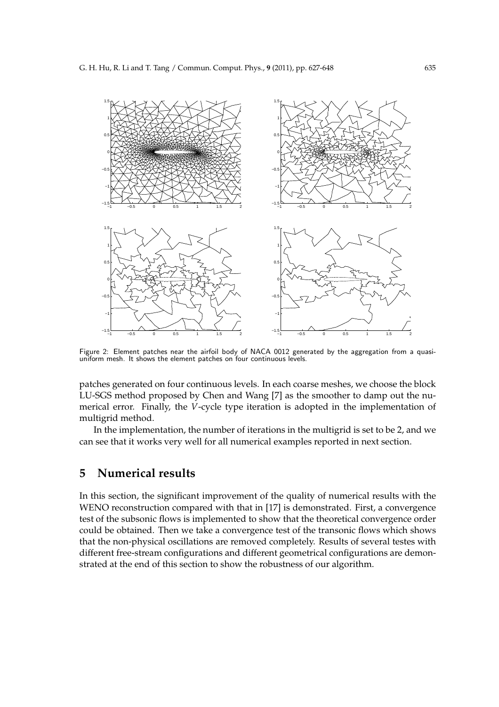

Figure 2: Element patches near the airfoil body of NACA 0012 generated by the aggregation from a quasiuniform mesh. It shows the element patches on four continuous levels.

patches generated on four continuous levels. In each coarse meshes, we choose the block LU-SGS method proposed by Chen and Wang [7] as the smoother to damp out the numerical error. Finally, the *V*-cycle type iteration is adopted in the implementation of multigrid method.

In the implementation, the number of iterations in the multigrid is set to be 2, and we can see that it works very well for all numerical examples reported in next section.

## **5 Numerical results**

In this section, the significant improvement of the quality of numerical results with the WENO reconstruction compared with that in [17] is demonstrated. First, a convergence test of the subsonic flows is implemented to show that the theoretical convergence order could be obtained. Then we take a convergence test of the transonic flows which shows that the non-physical oscillations are removed completely. Results of several testes with different free-stream configurations and different geometrical configurations are demonstrated at the end of this section to show the robustness of our algorithm.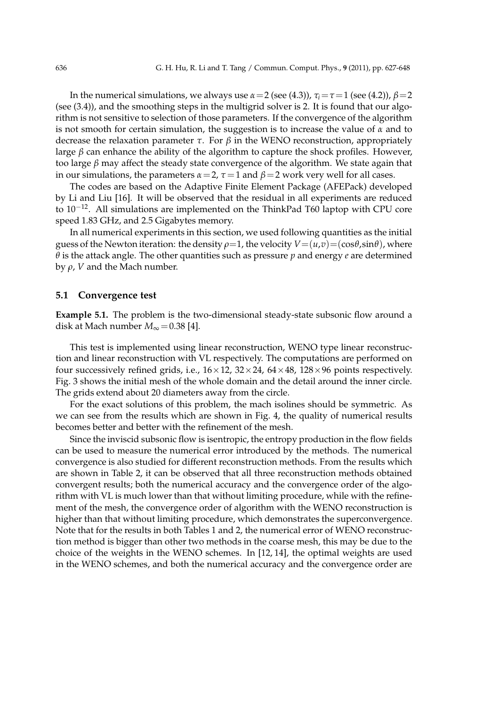In the numerical simulations, we always use  $α=2$  (see (4.3)),  $τ<sub>i</sub>=τ=1$  (see (4.2)),  $β=2$ (see (3.4)), and the smoothing steps in the multigrid solver is 2. It is found that our algorithm is not sensitive to selection of those parameters. If the convergence of the algorithm is not smooth for certain simulation, the suggestion is to increase the value of *α* and to decrease the relaxation parameter *τ*. For *β* in the WENO reconstruction, appropriately large  $\beta$  can enhance the ability of the algorithm to capture the shock profiles. However, too large *β* may affect the steady state convergence of the algorithm. We state again that in our simulations, the parameters  $\alpha = 2$ ,  $\tau = 1$  and  $\beta = 2$  work very well for all cases.

The codes are based on the Adaptive Finite Element Package (AFEPack) developed by Li and Liu [16]. It will be observed that the residual in all experiments are reduced to 10−12. All simulations are implemented on the ThinkPad T60 laptop with CPU core speed 1.83 GHz, and 2.5 Gigabytes memory.

In all numerical experiments in this section, we used following quantities as the initial guess of the Newton iteration: the density  $\rho=1$ , the velocity  $V=(u,v)=(\cos\theta,\sin\theta)$ , where *θ* is the attack angle. The other quantities such as pressure *p* and energy *e* are determined by  $ρ$ , *V* and the Mach number.

#### **5.1 Convergence test**

**Example 5.1.** The problem is the two-dimensional steady-state subsonic flow around a disk at Mach number  $M_{\infty} = 0.38$  [4].

This test is implemented using linear reconstruction, WENO type linear reconstruction and linear reconstruction with VL respectively. The computations are performed on four successively refined grids, i.e.,  $16 \times 12$ ,  $32 \times 24$ ,  $64 \times 48$ ,  $128 \times 96$  points respectively. Fig. 3 shows the initial mesh of the whole domain and the detail around the inner circle. The grids extend about 20 diameters away from the circle.

For the exact solutions of this problem, the mach isolines should be symmetric. As we can see from the results which are shown in Fig. 4, the quality of numerical results becomes better and better with the refinement of the mesh.

Since the inviscid subsonic flow is isentropic, the entropy production in the flow fields can be used to measure the numerical error introduced by the methods. The numerical convergence is also studied for different reconstruction methods. From the results which are shown in Table 2, it can be observed that all three reconstruction methods obtained convergent results; both the numerical accuracy and the convergence order of the algorithm with VL is much lower than that without limiting procedure, while with the refinement of the mesh, the convergence order of algorithm with the WENO reconstruction is higher than that without limiting procedure, which demonstrates the superconvergence. Note that for the results in both Tables 1 and 2, the numerical error of WENO reconstruction method is bigger than other two methods in the coarse mesh, this may be due to the choice of the weights in the WENO schemes. In [12, 14], the optimal weights are used in the WENO schemes, and both the numerical accuracy and the convergence order are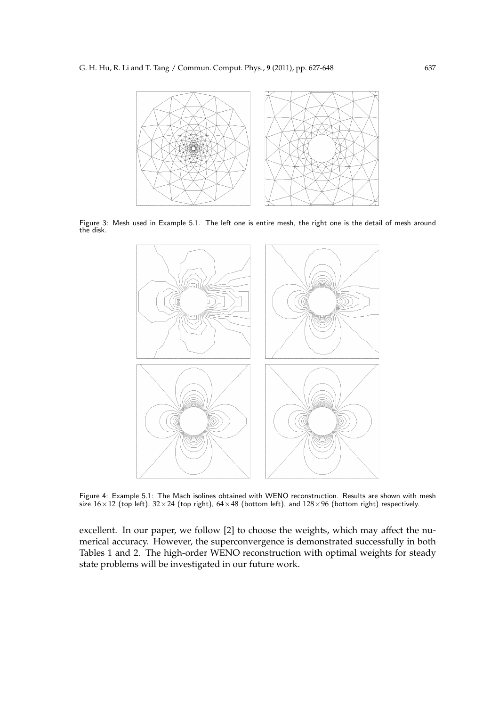

Figure 3: Mesh used in Example 5.1. The left one is entire mesh, the right one is the detail of mesh around the disk.



Figure 4: Example 5.1: The Mach isolines obtained with WENO reconstruction. Results are shown with mesh size  $16\times12$  (top left),  $32\times24$  (top right),  $64\times48$  (bottom left), and  $128\times96$  (bottom right) respectively.

excellent. In our paper, we follow [2] to choose the weights, which may affect the numerical accuracy. However, the superconvergence is demonstrated successfully in both Tables 1 and 2. The high-order WENO reconstruction with optimal weights for steady state problems will be investigated in our future work.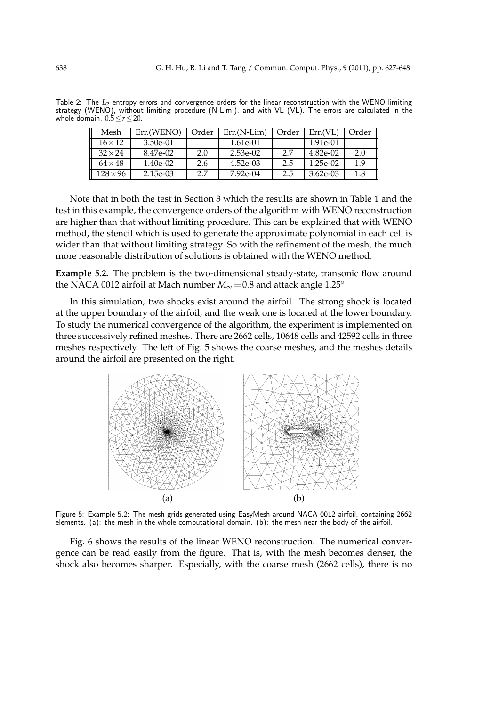Table 2: The L<sub>2</sub> entropy errors and convergence orders for the linear reconstruction with the WENO limiting strategy (WENO), without limiting procedure (N-Lim.), and with VL (VL). The errors are calculated in the whole domain, 0.5≤*r*≤20.

| Mesh           | Err.(WENO) | Order | $Err(N-Lim)$ | Order | Err(VL)    | Order |
|----------------|------------|-------|--------------|-------|------------|-------|
| $16 \times 12$ | 3.50e-01   |       | 1.61e-01     |       | 1.91e-01   |       |
| $32 \times 24$ | 8.47e-02   | 2.0   | 2.53e-02     | 2.7   | $4.82e-02$ | 2.0   |
| $64\times48$   | 1.40e-02   | 2.6   | 4.52e-03     | 2.5   | 1.25e-02   | 1.9   |
| $128\times96$  | 2.15e-03   | 2.7   | $7.92e-04$   | 2.5   | 3.62e-03   | 1.8   |

Note that in both the test in Section 3 which the results are shown in Table 1 and the test in this example, the convergence orders of the algorithm with WENO reconstruction are higher than that without limiting procedure. This can be explained that with WENO method, the stencil which is used to generate the approximate polynomial in each cell is wider than that without limiting strategy. So with the refinement of the mesh, the much more reasonable distribution of solutions is obtained with the WENO method.

**Example 5.2.** The problem is the two-dimensional steady-state, transonic flow around the NACA 0012 airfoil at Mach number  $M_{\infty} = 0.8$  and attack angle 1.25<sup>°</sup>.

In this simulation, two shocks exist around the airfoil. The strong shock is located at the upper boundary of the airfoil, and the weak one is located at the lower boundary. To study the numerical convergence of the algorithm, the experiment is implemented on three successively refined meshes. There are 2662 cells, 10648 cells and 42592 cells in three meshes respectively. The left of Fig. 5 shows the coarse meshes, and the meshes details around the airfoil are presented on the right.



Figure 5: Example 5.2: The mesh grids generated using EasyMesh around NACA 0012 airfoil, containing 2662 elements. (a): the mesh in the whole computational domain. (b): the mesh near the body of the airfoil.

Fig. 6 shows the results of the linear WENO reconstruction. The numerical convergence can be read easily from the figure. That is, with the mesh becomes denser, the shock also becomes sharper. Especially, with the coarse mesh (2662 cells), there is no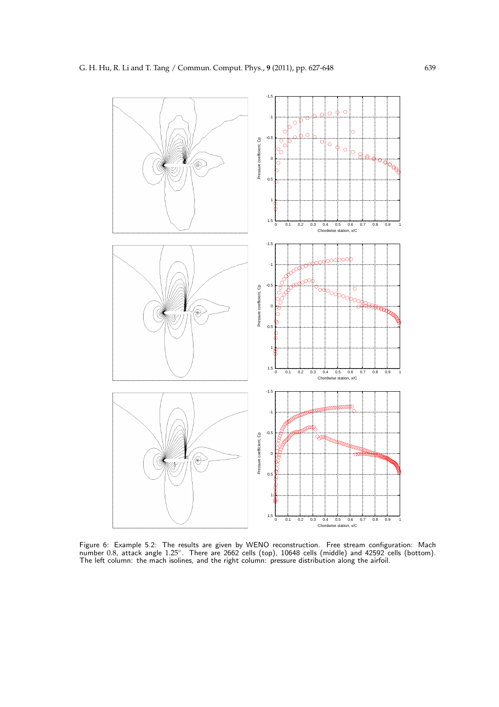

Figure 6: Example 5.2: The results are given by WENO reconstruction. Free stream configuration: Mach<br>number 0.8, attack angle 1.25°. There are 2662 cells (top), 10648 cells (middle) and 42592 cells (bottom). The left column: the mach isolines, and the right column: pressure distribution along the airfoil.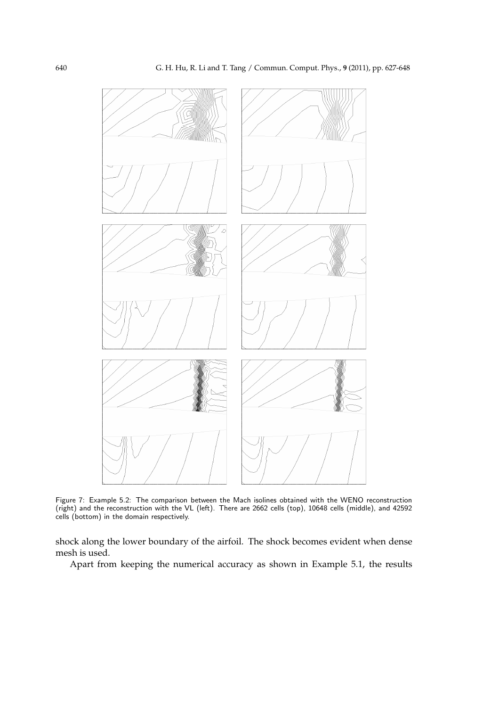

Figure 7: Example 5.2: The comparison between the Mach isolines obtained with the WENO reconstruction (right) and the reconstruction with the VL (left). There are 2662 cells (top), 10648 cells (middle), and 42592 cells (bottom) in the domain respectively.

shock along the lower boundary of the airfoil. The shock becomes evident when dense mesh is used.

Apart from keeping the numerical accuracy as shown in Example 5.1, the results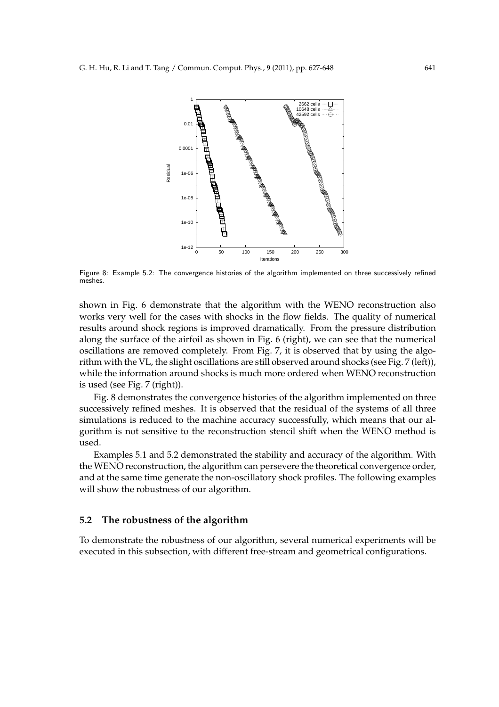

Figure 8: Example 5.2: The convergence histories of the algorithm implemented on three successively refined meshes.

shown in Fig. 6 demonstrate that the algorithm with the WENO reconstruction also works very well for the cases with shocks in the flow fields. The quality of numerical results around shock regions is improved dramatically. From the pressure distribution along the surface of the airfoil as shown in Fig. 6 (right), we can see that the numerical oscillations are removed completely. From Fig. 7, it is observed that by using the algorithm with the VL, the slight oscillations are still observed around shocks (see Fig. 7 (left)), while the information around shocks is much more ordered when WENO reconstruction is used (see Fig. 7 (right)).

Fig. 8 demonstrates the convergence histories of the algorithm implemented on three successively refined meshes. It is observed that the residual of the systems of all three simulations is reduced to the machine accuracy successfully, which means that our algorithm is not sensitive to the reconstruction stencil shift when the WENO method is used.

Examples 5.1 and 5.2 demonstrated the stability and accuracy of the algorithm. With the WENO reconstruction, the algorithm can persevere the theoretical convergence order, and at the same time generate the non-oscillatory shock profiles. The following examples will show the robustness of our algorithm.

#### **5.2 The robustness of the algorithm**

To demonstrate the robustness of our algorithm, several numerical experiments will be executed in this subsection, with different free-stream and geometrical configurations.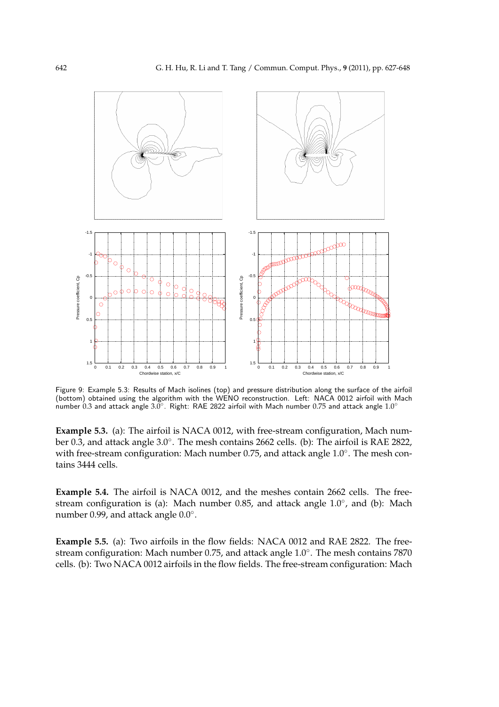

Figure 9: Example 5.3: Results of Mach isolines (top) and pressure distribution along the surface of the airfoil (bottom) obtained using the algorithm with the WENO reconstruction. Left: NACA 0012 airfoil with Mach number  $0.3$  and attack angle 3.0 $^{\circ}$ . Right: RAE 2822 airfoil with Mach number 0.75 and attack angle  $1.0^{\circ}$ 

**Example 5.3.** (a): The airfoil is NACA 0012, with free-stream configuration, Mach number 0.3, and attack angle 3.0°. The mesh contains 2662 cells. (b): The airfoil is RAE 2822, with free-stream configuration: Mach number 0.75, and attack angle 1.0°. The mesh contains 3444 cells.

**Example 5.4.** The airfoil is NACA 0012, and the meshes contain 2662 cells. The freestream configuration is (a): Mach number 0.85, and attack angle 1.0°, and (b): Mach number  $0.99$ , and attack angle  $0.0^\circ$ .

**Example 5.5.** (a): Two airfoils in the flow fields: NACA 0012 and RAE 2822. The freestream configuration: Mach number 0.75, and attack angle 1.0<sup>°</sup>. The mesh contains 7870 cells. (b): Two NACA 0012 airfoils in the flow fields. The free-stream configuration: Mach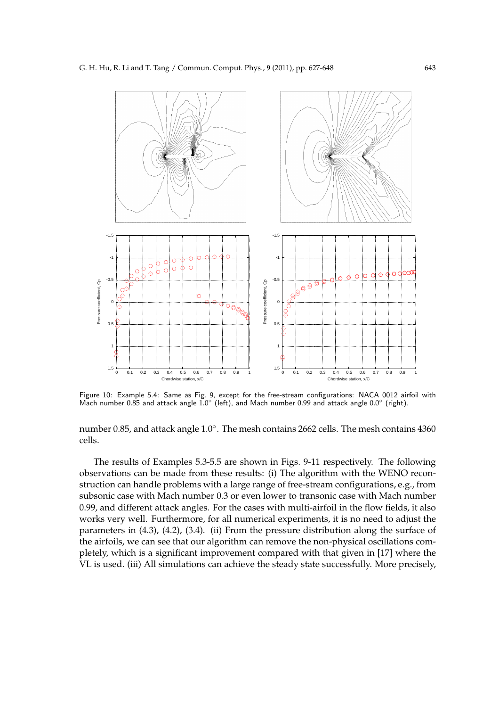

Figure 10: Example 5.4: Same as Fig. 9, except for the free-stream configurations: NACA 0012 airfoil with Mach number  $0.85$  and attack angle  $1.0^{\circ}$  (left), and Mach number  $0.99$  and attack angle  $0.0^{\circ}$  (right).

number 0.85, and attack angle 1.0°. The mesh contains 2662 cells. The mesh contains 4360 cells.

The results of Examples 5.3-5.5 are shown in Figs. 9-11 respectively. The following observations can be made from these results: (i) The algorithm with the WENO reconstruction can handle problems with a large range of free-stream configurations, e.g., from subsonic case with Mach number 0.3 or even lower to transonic case with Mach number 0.99, and different attack angles. For the cases with multi-airfoil in the flow fields, it also works very well. Furthermore, for all numerical experiments, it is no need to adjust the parameters in (4.3), (4.2), (3.4). (ii) From the pressure distribution along the surface of the airfoils, we can see that our algorithm can remove the non-physical oscillations completely, which is a significant improvement compared with that given in [17] where the VL is used. (iii) All simulations can achieve the steady state successfully. More precisely,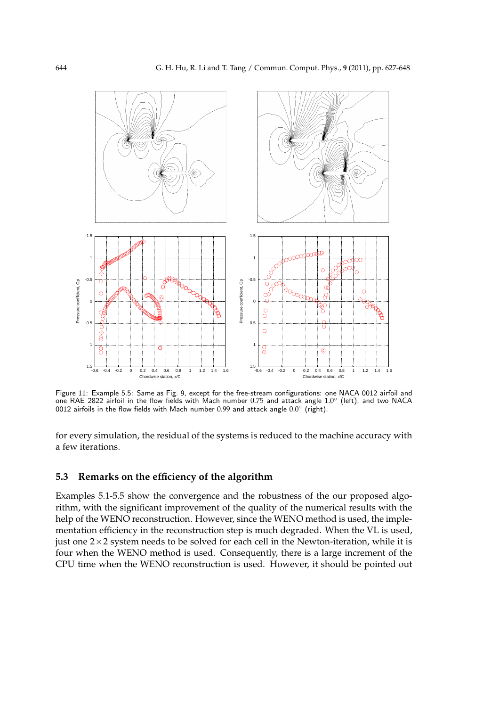

Figure 11: Example 5.5: Same as Fig. 9, except for the free-stream configurations: one NACA 0012 airfoil and one RAE 2822 airfoil in the flow fields with Mach number 0.75 and attack angle 1.0◦ (left), and two NACA 0012 airfoils in the flow fields with Mach number 0.99 and attack angle  $0.0^\circ$  (right).

for every simulation, the residual of the systems is reduced to the machine accuracy with a few iterations.

### **5.3 Remarks on the efficiency of the algorithm**

Examples 5.1-5.5 show the convergence and the robustness of the our proposed algorithm, with the significant improvement of the quality of the numerical results with the help of the WENO reconstruction. However, since the WENO method is used, the implementation efficiency in the reconstruction step is much degraded. When the VL is used, just one  $2\times 2$  system needs to be solved for each cell in the Newton-iteration, while it is four when the WENO method is used. Consequently, there is a large increment of the CPU time when the WENO reconstruction is used. However, it should be pointed out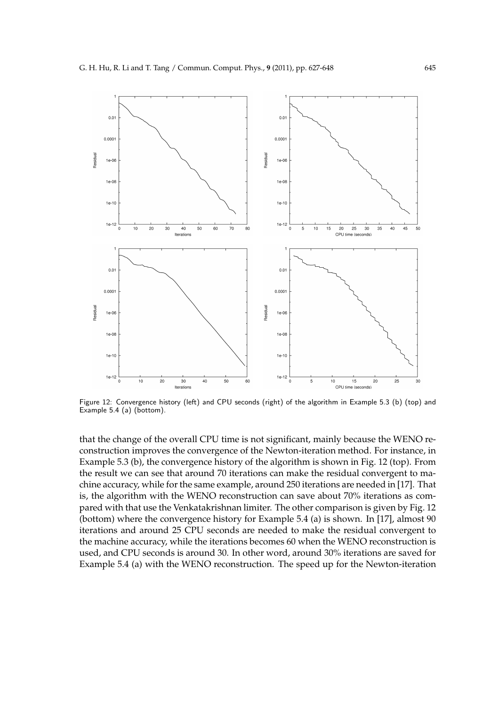

Figure 12: Convergence history (left) and CPU seconds (right) of the algorithm in Example 5.3 (b) (top) and Example 5.4 (a) (bottom).

that the change of the overall CPU time is not significant, mainly because the WENO reconstruction improves the convergence of the Newton-iteration method. For instance, in Example 5.3 (b), the convergence history of the algorithm is shown in Fig. 12 (top). From the result we can see that around 70 iterations can make the residual convergent to machine accuracy, while for the same example, around 250 iterations are needed in [17]. That is, the algorithm with the WENO reconstruction can save about 70% iterations as compared with that use the Venkatakrishnan limiter. The other comparison is given by Fig. 12 (bottom) where the convergence history for Example 5.4 (a) is shown. In [17], almost 90 iterations and around 25 CPU seconds are needed to make the residual convergent to the machine accuracy, while the iterations becomes 60 when the WENO reconstruction is used, and CPU seconds is around 30. In other word, around 30% iterations are saved for Example 5.4 (a) with the WENO reconstruction. The speed up for the Newton-iteration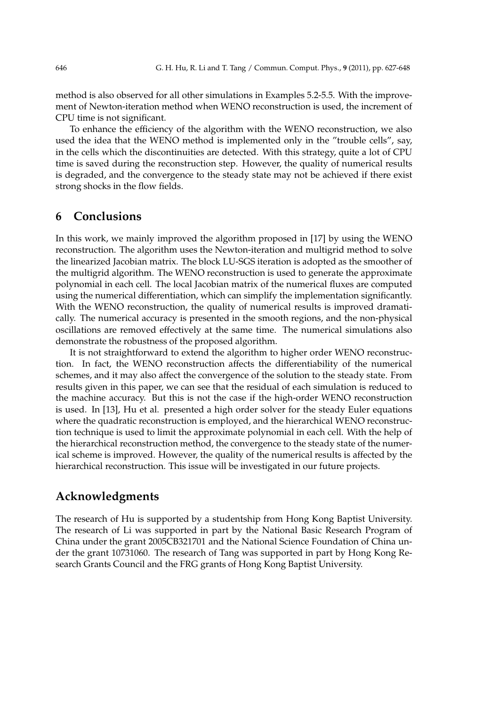method is also observed for all other simulations in Examples 5.2-5.5. With the improvement of Newton-iteration method when WENO reconstruction is used, the increment of CPU time is not significant.

To enhance the efficiency of the algorithm with the WENO reconstruction, we also used the idea that the WENO method is implemented only in the "trouble cells", say, in the cells which the discontinuities are detected. With this strategy, quite a lot of CPU time is saved during the reconstruction step. However, the quality of numerical results is degraded, and the convergence to the steady state may not be achieved if there exist strong shocks in the flow fields.

## **6 Conclusions**

In this work, we mainly improved the algorithm proposed in [17] by using the WENO reconstruction. The algorithm uses the Newton-iteration and multigrid method to solve the linearized Jacobian matrix. The block LU-SGS iteration is adopted as the smoother of the multigrid algorithm. The WENO reconstruction is used to generate the approximate polynomial in each cell. The local Jacobian matrix of the numerical fluxes are computed using the numerical differentiation, which can simplify the implementation significantly. With the WENO reconstruction, the quality of numerical results is improved dramatically. The numerical accuracy is presented in the smooth regions, and the non-physical oscillations are removed effectively at the same time. The numerical simulations also demonstrate the robustness of the proposed algorithm.

It is not straightforward to extend the algorithm to higher order WENO reconstruction. In fact, the WENO reconstruction affects the differentiability of the numerical schemes, and it may also affect the convergence of the solution to the steady state. From results given in this paper, we can see that the residual of each simulation is reduced to the machine accuracy. But this is not the case if the high-order WENO reconstruction is used. In [13], Hu et al. presented a high order solver for the steady Euler equations where the quadratic reconstruction is employed, and the hierarchical WENO reconstruction technique is used to limit the approximate polynomial in each cell. With the help of the hierarchical reconstruction method, the convergence to the steady state of the numerical scheme is improved. However, the quality of the numerical results is affected by the hierarchical reconstruction. This issue will be investigated in our future projects.

# **Acknowledgments**

The research of Hu is supported by a studentship from Hong Kong Baptist University. The research of Li was supported in part by the National Basic Research Program of China under the grant 2005CB321701 and the National Science Foundation of China under the grant 10731060. The research of Tang was supported in part by Hong Kong Research Grants Council and the FRG grants of Hong Kong Baptist University.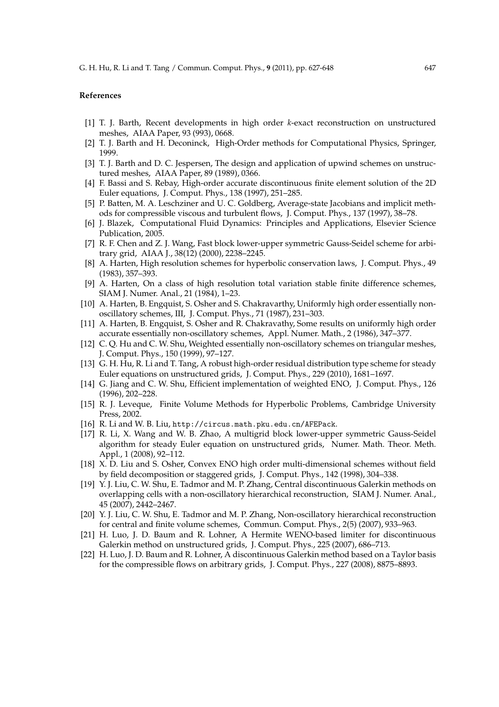#### **References**

- [1] T. J. Barth, Recent developments in high order *k*-exact reconstruction on unstructured meshes, AIAA Paper, 93 (993), 0668.
- [2] T. J. Barth and H. Deconinck, High-Order methods for Computational Physics, Springer, 1999.
- [3] T. J. Barth and D. C. Jespersen, The design and application of upwind schemes on unstructured meshes, AIAA Paper, 89 (1989), 0366.
- [4] F. Bassi and S. Rebay, High-order accurate discontinuous finite element solution of the 2D Euler equations, J. Comput. Phys., 138 (1997), 251–285.
- [5] P. Batten, M. A. Leschziner and U. C. Goldberg, Average-state Jacobians and implicit methods for compressible viscous and turbulent flows, J. Comput. Phys., 137 (1997), 38–78.
- [6] J. Blazek, Computational Fluid Dynamics: Principles and Applications, Elsevier Science Publication, 2005.
- [7] R. F. Chen and Z. J. Wang, Fast block lower-upper symmetric Gauss-Seidel scheme for arbitrary grid, AIAA J., 38(12) (2000), 2238–2245.
- [8] A. Harten, High resolution schemes for hyperbolic conservation laws, J. Comput. Phys., 49 (1983), 357–393.
- [9] A. Harten, On a class of high resolution total variation stable finite difference schemes, SIAM J. Numer. Anal., 21 (1984), 1–23.
- [10] A. Harten, B. Engquist, S. Osher and S. Chakravarthy, Uniformly high order essentially nonoscillatory schemes, III, J. Comput. Phys., 71 (1987), 231–303.
- [11] A. Harten, B. Engquist, S. Osher and R. Chakravathy, Some results on uniformly high order accurate essentially non-oscillatory schemes, Appl. Numer. Math., 2 (1986), 347–377.
- [12] C. Q. Hu and C. W. Shu, Weighted essentially non-oscillatory schemes on triangular meshes, J. Comput. Phys., 150 (1999), 97–127.
- [13] G. H. Hu, R. Li and T. Tang, A robust high-order residual distribution type scheme for steady Euler equations on unstructured grids, J. Comput. Phys., 229 (2010), 1681–1697.
- [14] G. Jiang and C. W. Shu, Efficient implementation of weighted ENO, J. Comput. Phys., 126 (1996), 202–228.
- [15] R. J. Leveque, Finite Volume Methods for Hyperbolic Problems, Cambridge University Press, 2002.
- [16] R. Li and W. B. Liu, http://circus.math.pku.edu.cn/AFEPack.
- [17] R. Li, X. Wang and W. B. Zhao, A multigrid block lower-upper symmetric Gauss-Seidel algorithm for steady Euler equation on unstructured grids, Numer. Math. Theor. Meth. Appl., 1 (2008), 92–112.
- [18] X. D. Liu and S. Osher, Convex ENO high order multi-dimensional schemes without field by field decomposition or staggered grids, J. Comput. Phys., 142 (1998), 304–338.
- [19] Y. J. Liu, C. W. Shu, E. Tadmor and M. P. Zhang, Central discontinuous Galerkin methods on overlapping cells with a non-oscillatory hierarchical reconstruction, SIAM J. Numer. Anal., 45 (2007), 2442–2467.
- [20] Y. J. Liu, C. W. Shu, E. Tadmor and M. P. Zhang, Non-oscillatory hierarchical reconstruction for central and finite volume schemes, Commun. Comput. Phys., 2(5) (2007), 933–963.
- [21] H. Luo, J. D. Baum and R. Lohner, A Hermite WENO-based limiter for discontinuous Galerkin method on unstructured grids, J. Comput. Phys., 225 (2007), 686–713.
- [22] H. Luo, J. D. Baum and R. Lohner, A discontinuous Galerkin method based on a Taylor basis for the compressible flows on arbitrary grids, J. Comput. Phys., 227 (2008), 8875–8893.